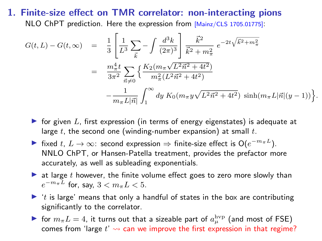## 1. Finite-size effect on TMR correlator: non-interacting pions NLO ChPT prediction. Here the expression from [Mainz/CLS 1705.01775]:

$$
G(t, L) - G(t, \infty) = \frac{1}{3} \left[ \frac{1}{L^3} \sum_{\vec{k}} - \int \frac{d^3 k}{(2\pi)^3} \right] \frac{\vec{k}^2}{\vec{k}^2 + m_\pi^2} e^{-2t\sqrt{\vec{k}^2 + m_\pi^2}}
$$
  

$$
= \frac{m_\pi^4 t}{3\pi^2} \sum_{\vec{n} \neq 0} \left\{ \frac{K_2(m_\pi \sqrt{L^2 \vec{n}^2 + 4t^2})}{m_\pi^2 (L^2 \vec{n}^2 + 4t^2)} - \frac{1}{m_\pi L |\vec{n}|} \int_1^\infty dy \ K_0(m_\pi y \sqrt{L^2 \vec{n}^2 + 4t^2}) \ \sinh(m_\pi L |\vec{n}| (y - 1)) \right\}.
$$

- In for given L, first expression (in terms of energy eigenstates) is adequate at large  $t$ , the second one (winding-number expansion) at small  $t$ .
- iiin tixed t,  $L \to \infty$ : second expression  $\Rightarrow$  finite-size effect is  $O(e^{-m_{\pi}L})$ . NNLO ChPT, or Hansen-Patella treatment, provides the prefactor more accurately, as well as subleading exponentials.
- $\blacktriangleright$  at large t however, the finite volume effect goes to zero more slowly than  $e^{-m_{\pi}L}$  for, say,  $3 < m_{\pi}L < 5$ .
- $\blacktriangleright$  't is large' means that only a handful of states in the box are contributing significantly to the correlator.
- ightharpoonup for  $m_{\pi}L = 4$ , it turns out that a sizeable part of  $a_{\mu}^{\text{hvp}}$  (and most of FSE) comes from 'large  $t' \leadsto$  can we improve the first expression in that regime?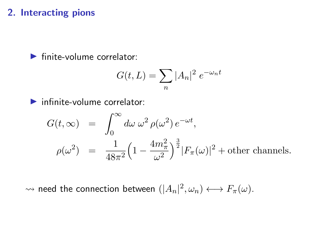## 2. Interacting pions

 $\blacktriangleright$  finite-volume correlator:

$$
G(t,L) = \sum_{n} |A_n|^2 e^{-\omega_n t}
$$

 $\blacktriangleright$  infinite-volume correlator:

$$
G(t, \infty) = \int_0^\infty d\omega \, \omega^2 \, \rho(\omega^2) \, e^{-\omega t},
$$
  

$$
\rho(\omega^2) = \frac{1}{48\pi^2} \left(1 - \frac{4m_\pi^2}{\omega^2}\right)^{\frac{3}{2}} |F_\pi(\omega)|^2 + \text{other channels}.
$$

 $\rightsquigarrow$  need the connection between  $(|A_n|^2, \omega_n) \longleftrightarrow F_{\pi}(\omega)$ .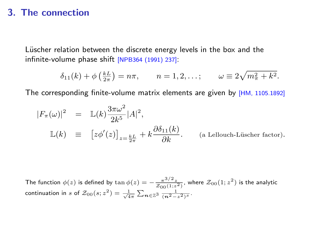## 3. The connection

Lüscher relation between the discrete energy levels in the box and the infinite-volume phase shift [NPB364 (1991) 237]:

$$
\delta_{11}(k) + \phi\left(\frac{k}{2\pi}\right) = n\pi, \qquad n = 1, 2, \ldots; \qquad \omega \equiv 2\sqrt{m_{\pi}^2 + k^2}.
$$

The corresponding finite-volume matrix elements are given by [HM, 1105.1892]

$$
|F_{\pi}(\omega)|^2 = \mathbb{L}(k)\frac{3\pi\omega^2}{2k^5}|A|^2,
$$
  

$$
\mathbb{L}(k) \equiv [z\phi'(z)]_{z=\frac{kL}{2\pi}} + k\frac{\partial \delta_{11}(k)}{\partial k}.
$$
 (a Lelouch-Lüscher factor).

The function  $\phi(z)$  is defined by  $\tan \phi(z) = -\frac{\pi^{3/2}z}{\mathcal{Z}_{00}(1;z^2)}$ , where  $\mathcal{Z}_{00}(1;z^2)$  is the analytic continuation in  $s$  of  $\mathcal{Z}_{00}(s;z^2) = \frac{1}{\sqrt{4\pi}} \sum_{\bm{n}\in\mathbb{Z}^3} \frac{1}{(n^2-z^2)^s}.$